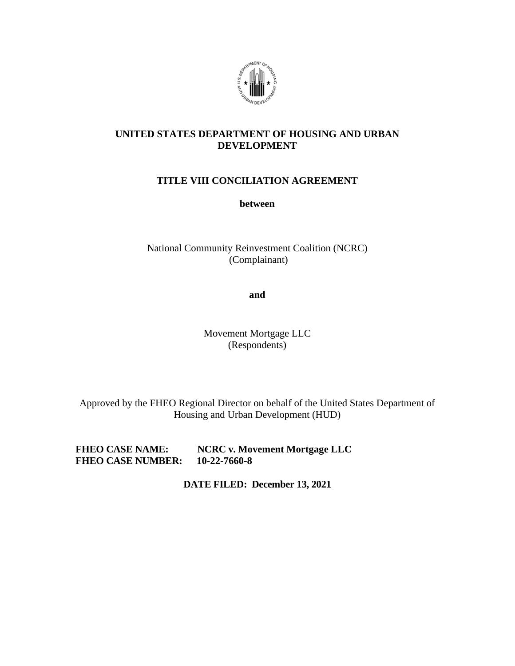

### **UNITED STATES DEPARTMENT OF HOUSING AND URBAN DEVELOPMENT**

## **TITLE VIII CONCILIATION AGREEMENT**

**between** 

National Community Reinvestment Coalition (NCRC) (Complainant)

**and**

Movement Mortgage LLC (Respondents)

Approved by the FHEO Regional Director on behalf of the United States Department of Housing and Urban Development (HUD)

**FHEO CASE NAME: NCRC v. Movement Mortgage LLC FHEO CASE NUMBER: 10-22-7660-8** 

**DATE FILED: December 13, 2021**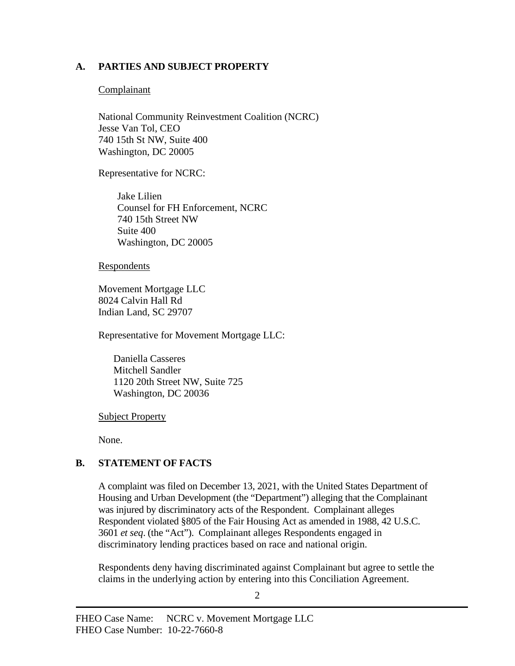### **A. PARTIES AND SUBJECT PROPERTY**

#### **Complainant**

National Community Reinvestment Coalition (NCRC) Jesse Van Tol, CEO 740 15th St NW, Suite 400 Washington, DC 20005

Representative for NCRC:

Jake Lilien Counsel for FH Enforcement, NCRC 740 15th Street NW Suite 400 Washington, DC 20005

**Respondents** 

Movement Mortgage LLC 8024 Calvin Hall Rd Indian Land, SC 29707

Representative for Movement Mortgage LLC:

Daniella Casseres Mitchell Sandler 1120 20th Street NW, Suite 725 Washington, DC 20036

Subject Property

None.

# **B. STATEMENT OF FACTS**

A complaint was filed on December 13, 2021, with the United States Department of Housing and Urban Development (the "Department") alleging that the Complainant was injured by discriminatory acts of the Respondent. Complainant alleges Respondent violated §805 of the Fair Housing Act as amended in 1988, 42 U.S.C. 3601 *et seq*. (the "Act"). Complainant alleges Respondents engaged in discriminatory lending practices based on race and national origin.

Respondents deny having discriminated against Complainant but agree to settle the claims in the underlying action by entering into this Conciliation Agreement.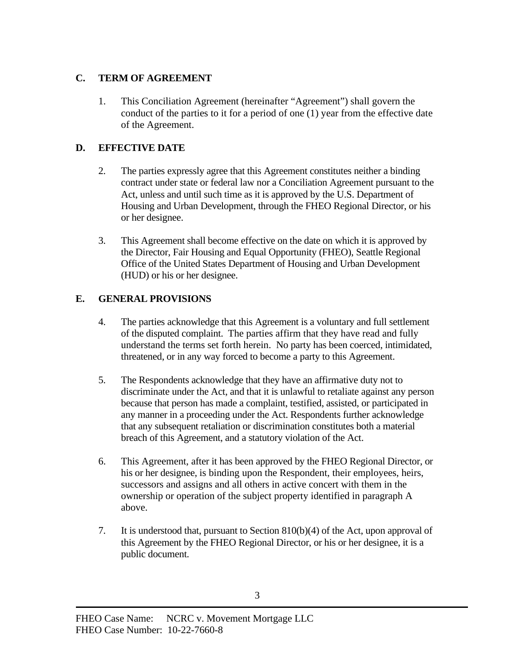## **C. TERM OF AGREEMENT**

1. This Conciliation Agreement (hereinafter "Agreement") shall govern the conduct of the parties to it for a period of one (1) year from the effective date of the Agreement.

# **D. EFFECTIVE DATE**

- 2. The parties expressly agree that this Agreement constitutes neither a binding contract under state or federal law nor a Conciliation Agreement pursuant to the Act, unless and until such time as it is approved by the U.S. Department of Housing and Urban Development, through the FHEO Regional Director, or his or her designee.
- 3. This Agreement shall become effective on the date on which it is approved by the Director, Fair Housing and Equal Opportunity (FHEO), Seattle Regional Office of the United States Department of Housing and Urban Development (HUD) or his or her designee.

# **E. GENERAL PROVISIONS**

- 4. The parties acknowledge that this Agreement is a voluntary and full settlement of the disputed complaint. The parties affirm that they have read and fully understand the terms set forth herein. No party has been coerced, intimidated, threatened, or in any way forced to become a party to this Agreement.
- 5. The Respondents acknowledge that they have an affirmative duty not to discriminate under the Act, and that it is unlawful to retaliate against any person because that person has made a complaint, testified, assisted, or participated in any manner in a proceeding under the Act. Respondents further acknowledge that any subsequent retaliation or discrimination constitutes both a material breach of this Agreement, and a statutory violation of the Act.
- 6. This Agreement, after it has been approved by the FHEO Regional Director, or his or her designee, is binding upon the Respondent, their employees, heirs, successors and assigns and all others in active concert with them in the ownership or operation of the subject property identified in paragraph A above.
- 7. It is understood that, pursuant to Section 810(b)(4) of the Act, upon approval of this Agreement by the FHEO Regional Director, or his or her designee, it is a public document.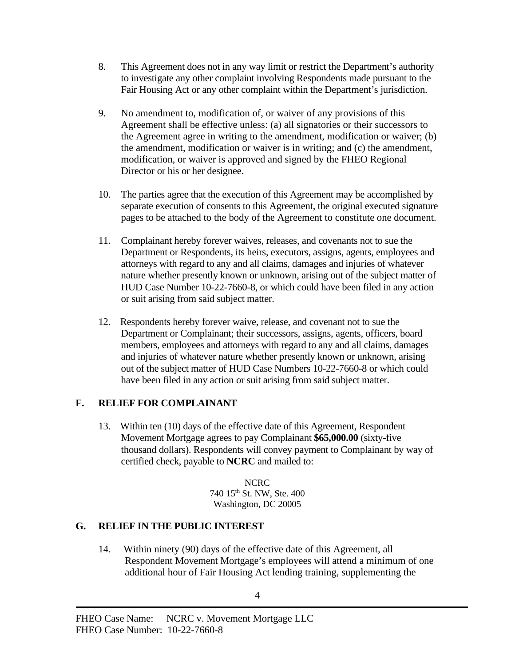- 8. This Agreement does not in any way limit or restrict the Department's authority to investigate any other complaint involving Respondents made pursuant to the Fair Housing Act or any other complaint within the Department's jurisdiction.
- 9. No amendment to, modification of, or waiver of any provisions of this Agreement shall be effective unless: (a) all signatories or their successors to the Agreement agree in writing to the amendment, modification or waiver; (b) the amendment, modification or waiver is in writing; and (c) the amendment, modification, or waiver is approved and signed by the FHEO Regional Director or his or her designee.
- 10. The parties agree that the execution of this Agreement may be accomplished by separate execution of consents to this Agreement, the original executed signature pages to be attached to the body of the Agreement to constitute one document.
- 11. Complainant hereby forever waives, releases, and covenants not to sue the Department or Respondents, its heirs, executors, assigns, agents, employees and attorneys with regard to any and all claims, damages and injuries of whatever nature whether presently known or unknown, arising out of the subject matter of HUD Case Number 10-22-7660-8, or which could have been filed in any action or suit arising from said subject matter.
- 12. Respondents hereby forever waive, release, and covenant not to sue the Department or Complainant; their successors, assigns, agents, officers, board members, employees and attorneys with regard to any and all claims, damages and injuries of whatever nature whether presently known or unknown, arising out of the subject matter of HUD Case Numbers 10-22-7660-8 or which could have been filed in any action or suit arising from said subject matter.

## **F. RELIEF FOR COMPLAINANT**

13. Within ten (10) days of the effective date of this Agreement, Respondent Movement Mortgage agrees to pay Complainant **\$65,000.00** (sixty-five thousand dollars). Respondents will convey payment to Complainant by way of certified check, payable to **NCRC** and mailed to:

> NCRC 740 15th St. NW, Ste. 400 Washington, DC 20005

## **G. RELIEF IN THE PUBLIC INTEREST**

14. Within ninety (90) days of the effective date of this Agreement, all Respondent Movement Mortgage's employees will attend a minimum of one additional hour of Fair Housing Act lending training, supplementing the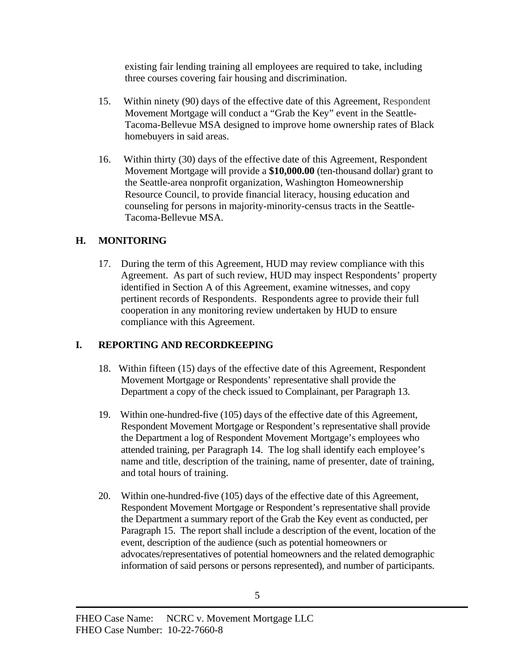existing fair lending training all employees are required to take, including three courses covering fair housing and discrimination.

- 15. Within ninety (90) days of the effective date of this Agreement, Respondent Movement Mortgage will conduct a "Grab the Key" event in the Seattle-Tacoma-Bellevue MSA designed to improve home ownership rates of Black homebuyers in said areas.
- 16. Within thirty (30) days of the effective date of this Agreement, Respondent Movement Mortgage will provide a **\$10,000.00** (ten-thousand dollar) grant to the Seattle-area nonprofit organization, Washington Homeownership Resource Council, to provide financial literacy, housing education and counseling for persons in majority-minority-census tracts in the Seattle-Tacoma-Bellevue MSA.

### **H. MONITORING**

17. During the term of this Agreement, HUD may review compliance with this Agreement. As part of such review, HUD may inspect Respondents' property identified in Section A of this Agreement, examine witnesses, and copy pertinent records of Respondents. Respondents agree to provide their full cooperation in any monitoring review undertaken by HUD to ensure compliance with this Agreement.

## **I. REPORTING AND RECORDKEEPING**

- 18. Within fifteen (15) days of the effective date of this Agreement, Respondent Movement Mortgage or Respondents' representative shall provide the Department a copy of the check issued to Complainant, per Paragraph 13.
- 19. Within one-hundred-five (105) days of the effective date of this Agreement, Respondent Movement Mortgage or Respondent's representative shall provide the Department a log of Respondent Movement Mortgage's employees who attended training, per Paragraph 14. The log shall identify each employee's name and title, description of the training, name of presenter, date of training, and total hours of training.
- 20. Within one-hundred-five (105) days of the effective date of this Agreement, Respondent Movement Mortgage or Respondent's representative shall provide the Department a summary report of the Grab the Key event as conducted, per Paragraph 15. The report shall include a description of the event, location of the event, description of the audience (such as potential homeowners or advocates/representatives of potential homeowners and the related demographic information of said persons or persons represented), and number of participants.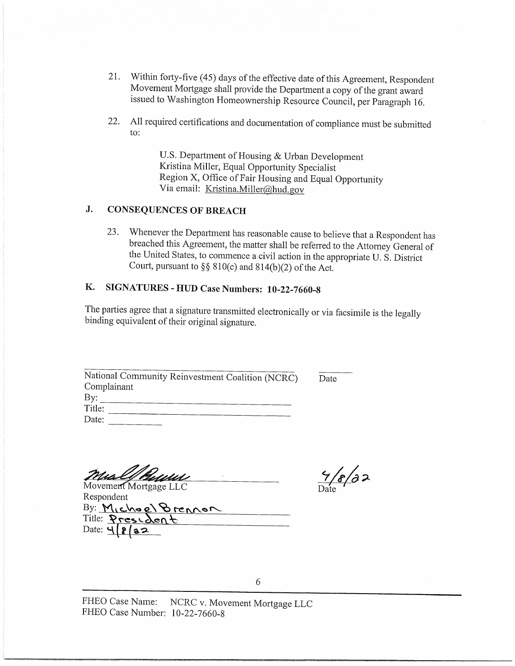- 21. Within forty-five (45) days of the effective date of this Agreement, Respondent Movement Mortgage shall provide the Department a copy of the grant award issued to Washington Homeownership Resource Council, per Paragraph 16.
- All required certifications and documentation of compliance must be submitted 22. to:

U.S. Department of Housing & Urban Development Kristina Miller, Equal Opportunity Specialist Region X, Office of Fair Housing and Equal Opportunity Via email: Kristina.Miller@hud.gov

#### J. **CONSEQUENCES OF BREACH**

Whenever the Department has reasonable cause to believe that a Respondent has 23. breached this Agreement, the matter shall be referred to the Attorney General of the United States, to commence a civil action in the appropriate U.S. District Court, pursuant to  $\S\S 810(c)$  and  $814(b)(2)$  of the Act.

#### Κ. SIGNATURES - HUD Case Numbers: 10-22-7660-8

The parties agree that a signature transmitted electronically or via facsimile is the legally binding equivalent of their original signature.

| National Community Reinvestment Coalition (NCRC) |
|--------------------------------------------------|
| Complainant                                      |
| By:                                              |
| Title:                                           |
| Date:                                            |

Mull!

Movement Mortgage LLC Respondent By: Michael Brennon Title: Presiden Date: 4

 $\frac{9}{\text{Date}}$ 

Date

FHEO Case Name: NCRC v. Movement Mortgage LLC FHEO Case Number: 10-22-7660-8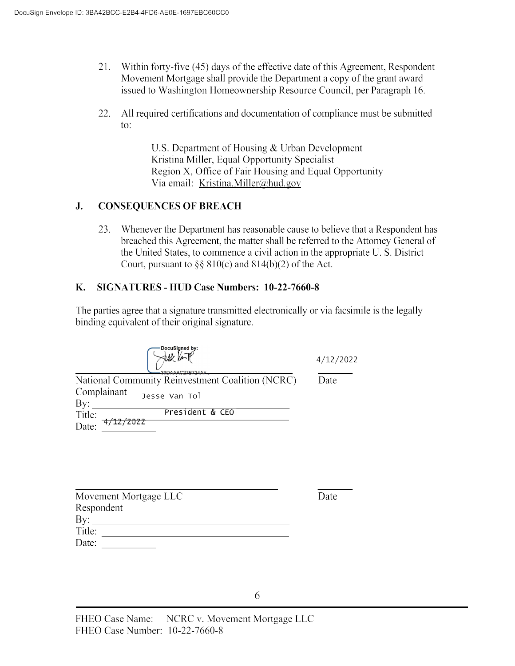- 21. Within forty-five (45) days of the effective date of this Agreement, Respondent Movement Mortgage shall provide the Department a copy of the grant award issued to Washington Homeownership Resource Council, per Paragraph 16.
- 22. All required certifications and documentation of compliance must be submitted to:

U.S. Department of Housing & Urban Development Kristina Miller, Equal Opportunity Specialist Region X, Office of Fair Housing and Equal Opportunity Via email: Kristina.Miller@hud.gov

#### J. **CONSEQUENCES OF BREACH**

Whenever the Department has reasonable cause to believe that a Respondent has 23. breached this Agreement, the matter shall be referred to the Attorney General of the United States, to commence a civil action in the appropriate U.S. District Court, pursuant to  $\S$ § 810(c) and 814(b)(2) of the Act.

#### **SIGNATURES - HUD Case Numbers: 10-22-7660-8 K.**

The parties agree that a signature transmitted electronically or via facsimile is the legally binding equivalent of their original signature.

| DocuSigned by:<br>390000027R724AF                | 4/12/2022 |
|--------------------------------------------------|-----------|
| National Community Reinvestment Coalition (NCRC) | Date      |
| Complainant<br>Jesse Van Tol<br>By:              |           |
| President & CEO<br>Title:                        |           |
| Date:                                            |           |

| Movement Mortgage LLC |
|-----------------------|
| Respondent            |
| By:                   |
| Title:                |
| Date:                 |

Date

6